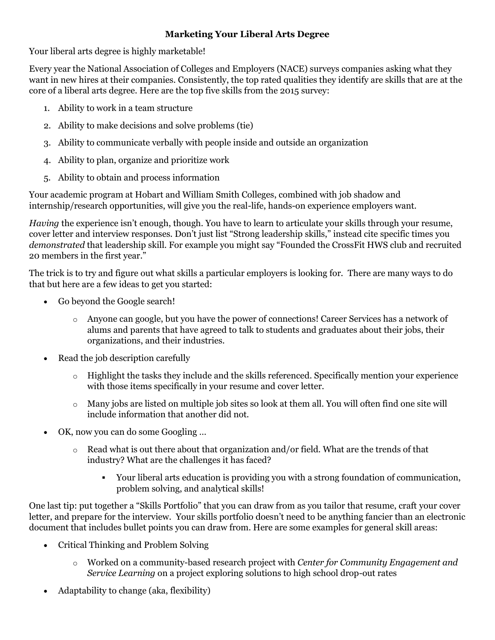## **Marketing Your Liberal Arts Degree**

Your liberal arts degree is highly marketable!

Every year the National Association of Colleges and Employers (NACE) surveys companies asking what they want in new hires at their companies. Consistently, the top rated qualities they identify are skills that are at the core of a liberal arts degree. Here are the top five skills from the 2015 survey:

- 1. Ability to work in a team structure
- 2. Ability to make decisions and solve problems (tie)
- 3. Ability to communicate verbally with people inside and outside an organization
- 4. Ability to plan, organize and prioritize work
- 5. Ability to obtain and process information

Your academic program at Hobart and William Smith Colleges, combined with job shadow and internship/research opportunities, will give you the real-life, hands-on experience employers want.

*Having* the experience isn't enough, though. You have to learn to articulate your skills through your resume, cover letter and interview responses. Don't just list "Strong leadership skills," instead cite specific times you *demonstrated* that leadership skill. For example you might say "Founded the CrossFit HWS club and recruited 20 members in the first year."

The trick is to try and figure out what skills a particular employers is looking for. There are many ways to do that but here are a few ideas to get you started:

- Go beyond the Google search!
	- o Anyone can google, but you have the power of connections! Career Services has a network of alums and parents that have agreed to talk to students and graduates about their jobs, their organizations, and their industries.
- Read the job description carefully
	- o Highlight the tasks they include and the skills referenced. Specifically mention your experience with those items specifically in your resume and cover letter.
	- $\circ$  Many jobs are listed on multiple job sites so look at them all. You will often find one site will include information that another did not.
- OK, now you can do some Googling …
	- o Read what is out there about that organization and/or field. What are the trends of that industry? What are the challenges it has faced?
		- Your liberal arts education is providing you with a strong foundation of communication, problem solving, and analytical skills!

One last tip: put together a "Skills Portfolio" that you can draw from as you tailor that resume, craft your cover letter, and prepare for the interview. Your skills portfolio doesn't need to be anything fancier than an electronic document that includes bullet points you can draw from. Here are some examples for general skill areas:

- Critical Thinking and Problem Solving
	- o Worked on a community-based research project with *Center for Community Engagement and Service Learning* on a project exploring solutions to high school drop-out rates
- Adaptability to change (aka, flexibility)